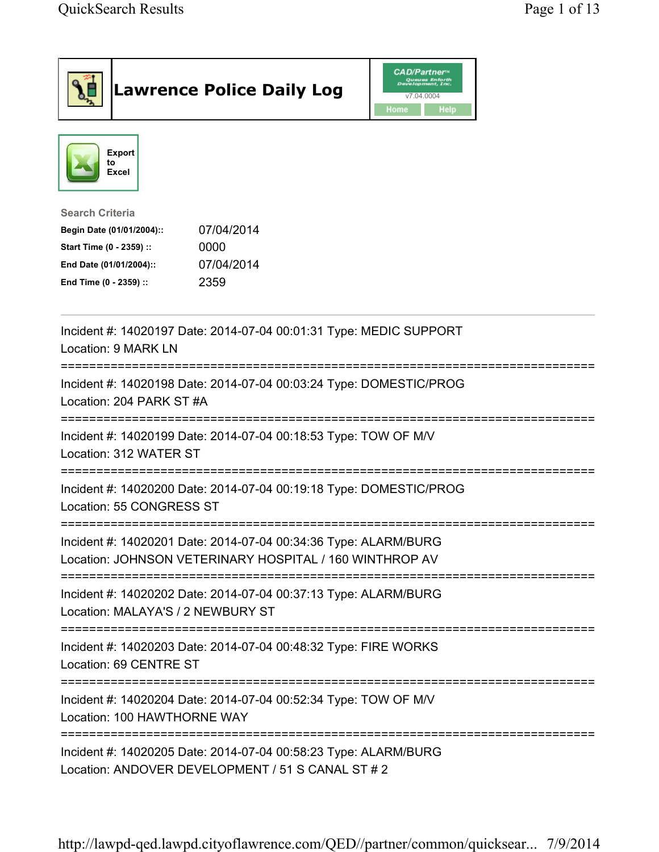| <b>Lawrence Police Daily Log</b>                                                                                                                                                 | <b>CAD/Partner</b><br>Queues Enforth<br>Development, Inc.<br>v7.04.0004<br>Home<br><b>Help</b> |
|----------------------------------------------------------------------------------------------------------------------------------------------------------------------------------|------------------------------------------------------------------------------------------------|
| <b>Export</b><br>to<br>Excel                                                                                                                                                     |                                                                                                |
| <b>Search Criteria</b><br>07/04/2014<br>Begin Date (01/01/2004)::<br>0000<br>Start Time (0 - 2359) ::<br>07/04/2014<br>End Date (01/01/2004)::<br>2359<br>End Time (0 - 2359) :: |                                                                                                |
| Incident #: 14020197 Date: 2014-07-04 00:01:31 Type: MEDIC SUPPORT<br>Location: 9 MARK LN                                                                                        |                                                                                                |
| Incident #: 14020198 Date: 2014-07-04 00:03:24 Type: DOMESTIC/PROG<br>Location: 204 PARK ST #A                                                                                   |                                                                                                |
| Incident #: 14020199 Date: 2014-07-04 00:18:53 Type: TOW OF M/V<br>Location: 312 WATER ST                                                                                        |                                                                                                |
| Incident #: 14020200 Date: 2014-07-04 00:19:18 Type: DOMESTIC/PROG<br>Location: 55 CONGRESS ST                                                                                   |                                                                                                |
| Incident #: 14020201 Date: 2014-07-04 00:34:36 Type: ALARM/BURG<br>Location: JOHNSON VETERINARY HOSPITAL / 160 WINTHROP AV                                                       |                                                                                                |
| Incident #: 14020202 Date: 2014-07-04 00:37:13 Type: ALARM/BURG<br>Location: MALAYA'S / 2 NEWBURY ST                                                                             |                                                                                                |
| Incident #: 14020203 Date: 2014-07-04 00:48:32 Type: FIRE WORKS<br>Location: 69 CENTRE ST                                                                                        |                                                                                                |
| Incident #: 14020204 Date: 2014-07-04 00:52:34 Type: TOW OF M/V<br>Location: 100 HAWTHORNE WAY                                                                                   |                                                                                                |
| Incident #: 14020205 Date: 2014-07-04 00:58:23 Type: ALARM/BURG<br>Location: ANDOVER DEVELOPMENT / 51 S CANAL ST # 2                                                             |                                                                                                |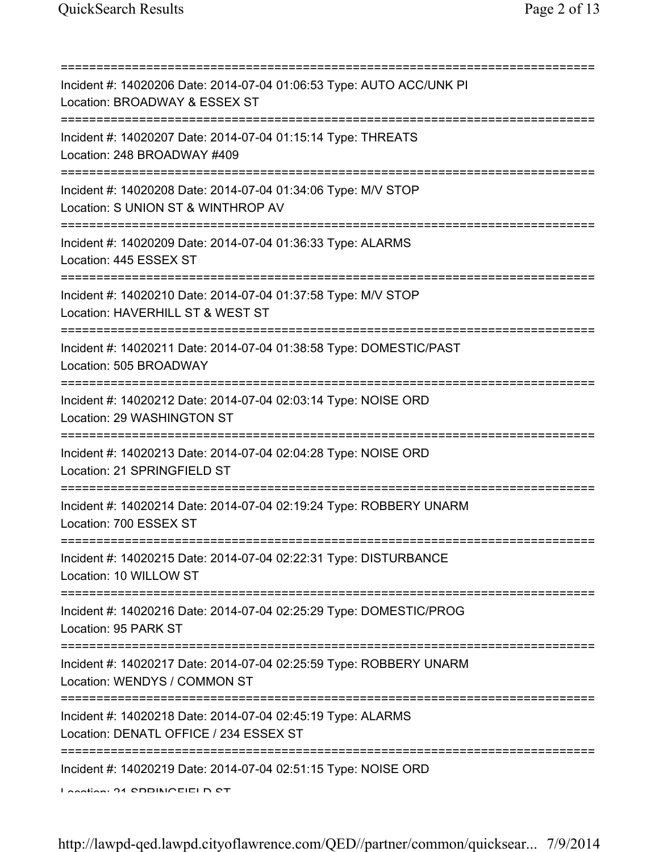| Incident #: 14020206 Date: 2014-07-04 01:06:53 Type: AUTO ACC/UNK PI<br>Location: BROADWAY & ESSEX ST<br>;======================          |
|-------------------------------------------------------------------------------------------------------------------------------------------|
| Incident #: 14020207 Date: 2014-07-04 01:15:14 Type: THREATS<br>Location: 248 BROADWAY #409                                               |
| Incident #: 14020208 Date: 2014-07-04 01:34:06 Type: M/V STOP<br>Location: S UNION ST & WINTHROP AV                                       |
| :=======================<br>Incident #: 14020209 Date: 2014-07-04 01:36:33 Type: ALARMS<br>Location: 445 ESSEX ST                         |
| ;===================================<br>Incident #: 14020210 Date: 2014-07-04 01:37:58 Type: M/V STOP<br>Location: HAVERHILL ST & WEST ST |
| ;===================================<br>Incident #: 14020211 Date: 2014-07-04 01:38:58 Type: DOMESTIC/PAST<br>Location: 505 BROADWAY      |
| Incident #: 14020212 Date: 2014-07-04 02:03:14 Type: NOISE ORD<br>Location: 29 WASHINGTON ST                                              |
| Incident #: 14020213 Date: 2014-07-04 02:04:28 Type: NOISE ORD<br>Location: 21 SPRINGFIELD ST                                             |
| Incident #: 14020214 Date: 2014-07-04 02:19:24 Type: ROBBERY UNARM<br>Location: 700 ESSEX ST                                              |
| Incident #: 14020215 Date: 2014-07-04 02:22:31 Type: DISTURBANCE<br>Location: 10 WILLOW ST                                                |
| Incident #: 14020216 Date: 2014-07-04 02:25:29 Type: DOMESTIC/PROG<br>Location: 95 PARK ST                                                |
| Incident #: 14020217 Date: 2014-07-04 02:25:59 Type: ROBBERY UNARM<br>Location: WENDYS / COMMON ST                                        |
| Incident #: 14020218 Date: 2014-07-04 02:45:19 Type: ALARMS<br>Location: DENATL OFFICE / 234 ESSEX ST                                     |
| Incident #: 14020219 Date: 2014-07-04 02:51:15 Type: NOISE ORD<br>דם ח ושושמותחם 14 ימהווימה ו                                            |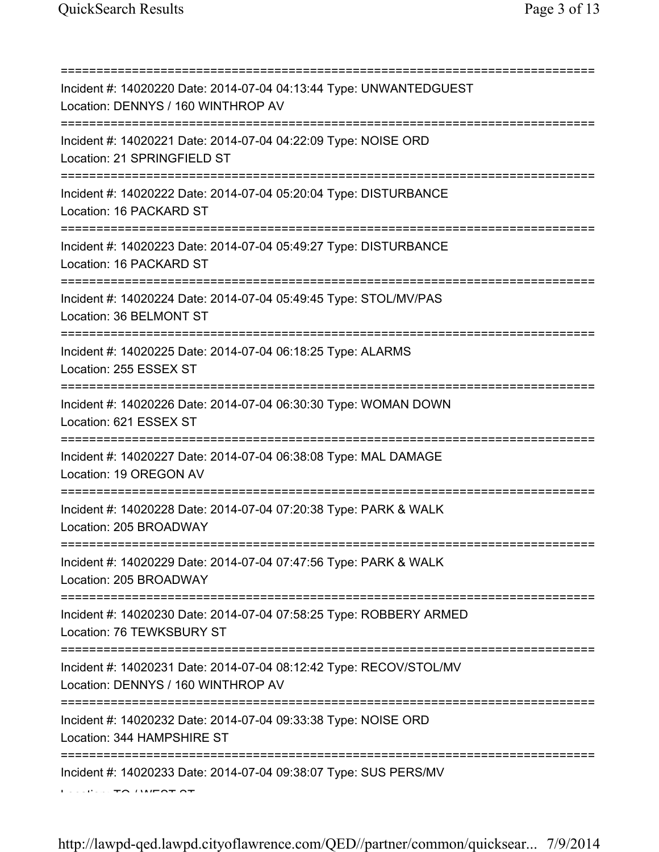=========================================================================== Incident #: 14020220 Date: 2014-07-04 04:13:44 Type: UNWANTEDGUEST Location: DENNYS / 160 WINTHROP AV =========================================================================== Incident #: 14020221 Date: 2014-07-04 04:22:09 Type: NOISE ORD Location: 21 SPRINGFIELD ST =========================================================================== Incident #: 14020222 Date: 2014-07-04 05:20:04 Type: DISTURBANCE Location: 16 PACKARD ST =========================================================================== Incident #: 14020223 Date: 2014-07-04 05:49:27 Type: DISTURBANCE Location: 16 PACKARD ST =========================================================================== Incident #: 14020224 Date: 2014-07-04 05:49:45 Type: STOL/MV/PAS Location: 36 BELMONT ST =========================================================================== Incident #: 14020225 Date: 2014-07-04 06:18:25 Type: ALARMS Location: 255 ESSEX ST =========================================================================== Incident #: 14020226 Date: 2014-07-04 06:30:30 Type: WOMAN DOWN Location: 621 ESSEX ST =========================================================================== Incident #: 14020227 Date: 2014-07-04 06:38:08 Type: MAL DAMAGE Location: 19 OREGON AV =========================================================================== Incident #: 14020228 Date: 2014-07-04 07:20:38 Type: PARK & WALK Location: 205 BROADWAY =========================================================================== Incident #: 14020229 Date: 2014-07-04 07:47:56 Type: PARK & WALK Location: 205 BROADWAY =========================================================================== Incident #: 14020230 Date: 2014-07-04 07:58:25 Type: ROBBERY ARMED Location: 76 TEWKSBURY ST =========================================================================== Incident #: 14020231 Date: 2014-07-04 08:12:42 Type: RECOV/STOL/MV Location: DENNYS / 160 WINTHROP AV =========================================================================== Incident #: 14020232 Date: 2014-07-04 09:33:38 Type: NOISE ORD Location: 344 HAMPSHIRE ST =========================================================================== Incident #: 14020233 Date: 2014-07-04 09:38:07 Type: SUS PERS/MV Location: TO / WEST ST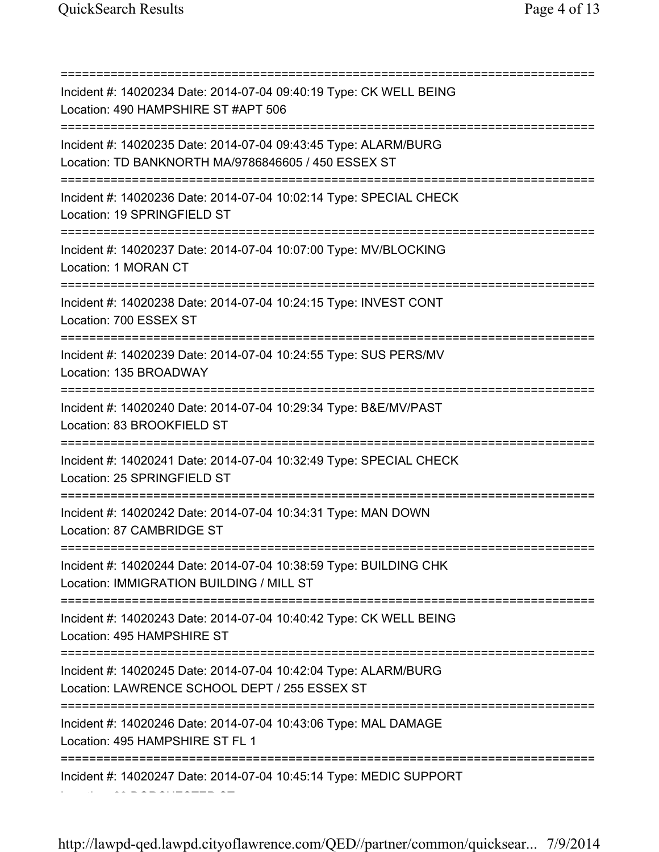=========================================================================== Incident #: 14020234 Date: 2014-07-04 09:40:19 Type: CK WELL BEING Location: 490 HAMPSHIRE ST #APT 506 =========================================================================== Incident #: 14020235 Date: 2014-07-04 09:43:45 Type: ALARM/BURG Location: TD BANKNORTH MA/9786846605 / 450 ESSEX ST =========================================================================== Incident #: 14020236 Date: 2014-07-04 10:02:14 Type: SPECIAL CHECK Location: 19 SPRINGFIELD ST =========================================================================== Incident #: 14020237 Date: 2014-07-04 10:07:00 Type: MV/BLOCKING Location: 1 MORAN CT =========================================================================== Incident #: 14020238 Date: 2014-07-04 10:24:15 Type: INVEST CONT Location: 700 ESSEX ST =========================================================================== Incident #: 14020239 Date: 2014-07-04 10:24:55 Type: SUS PERS/MV Location: 135 BROADWAY =========================================================================== Incident #: 14020240 Date: 2014-07-04 10:29:34 Type: B&E/MV/PAST Location: 83 BROOKFIELD ST =========================================================================== Incident #: 14020241 Date: 2014-07-04 10:32:49 Type: SPECIAL CHECK Location: 25 SPRINGFIELD ST =========================================================================== Incident #: 14020242 Date: 2014-07-04 10:34:31 Type: MAN DOWN Location: 87 CAMBRIDGE ST =========================================================================== Incident #: 14020244 Date: 2014-07-04 10:38:59 Type: BUILDING CHK Location: IMMIGRATION BUILDING / MILL ST =========================================================================== Incident #: 14020243 Date: 2014-07-04 10:40:42 Type: CK WELL BEING Location: 495 HAMPSHIRE ST =========================================================================== Incident #: 14020245 Date: 2014-07-04 10:42:04 Type: ALARM/BURG Location: LAWRENCE SCHOOL DEPT / 255 ESSEX ST =========================================================================== Incident #: 14020246 Date: 2014-07-04 10:43:06 Type: MAL DAMAGE Location: 495 HAMPSHIRE ST FL 1 =========================================================================== Incident #: 14020247 Date: 2014-07-04 10:45:14 Type: MEDIC SUPPORT Location: 83 DORCHESTER ST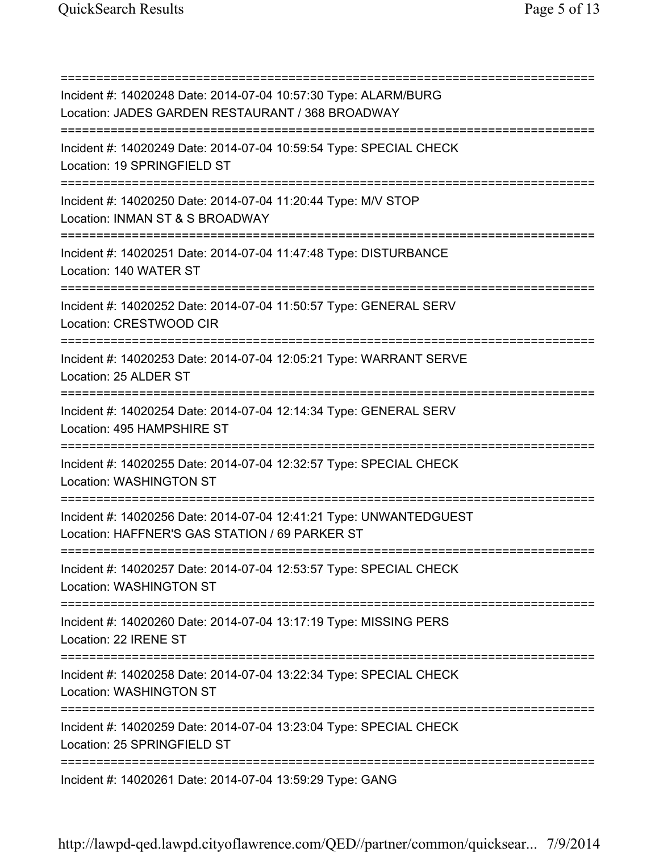=========================================================================== Incident #: 14020248 Date: 2014-07-04 10:57:30 Type: ALARM/BURG Location: JADES GARDEN RESTAURANT / 368 BROADWAY =========================================================================== Incident #: 14020249 Date: 2014-07-04 10:59:54 Type: SPECIAL CHECK Location: 19 SPRINGFIELD ST =========================================================================== Incident #: 14020250 Date: 2014-07-04 11:20:44 Type: M/V STOP Location: INMAN ST & S BROADWAY =========================================================================== Incident #: 14020251 Date: 2014-07-04 11:47:48 Type: DISTURBANCE Location: 140 WATER ST =========================================================================== Incident #: 14020252 Date: 2014-07-04 11:50:57 Type: GENERAL SERV Location: CRESTWOOD CIR =========================================================================== Incident #: 14020253 Date: 2014-07-04 12:05:21 Type: WARRANT SERVE Location: 25 ALDER ST =========================================================================== Incident #: 14020254 Date: 2014-07-04 12:14:34 Type: GENERAL SERV Location: 495 HAMPSHIRE ST =========================================================================== Incident #: 14020255 Date: 2014-07-04 12:32:57 Type: SPECIAL CHECK Location: WASHINGTON ST =========================================================================== Incident #: 14020256 Date: 2014-07-04 12:41:21 Type: UNWANTEDGUEST Location: HAFFNER'S GAS STATION / 69 PARKER ST =========================================================================== Incident #: 14020257 Date: 2014-07-04 12:53:57 Type: SPECIAL CHECK Location: WASHINGTON ST =========================================================================== Incident #: 14020260 Date: 2014-07-04 13:17:19 Type: MISSING PERS Location: 22 IRENE ST =========================================================================== Incident #: 14020258 Date: 2014-07-04 13:22:34 Type: SPECIAL CHECK Location: WASHINGTON ST =========================================================================== Incident #: 14020259 Date: 2014-07-04 13:23:04 Type: SPECIAL CHECK Location: 25 SPRINGFIFLD ST =========================================================================== Incident #: 14020261 Date: 2014-07-04 13:59:29 Type: GANG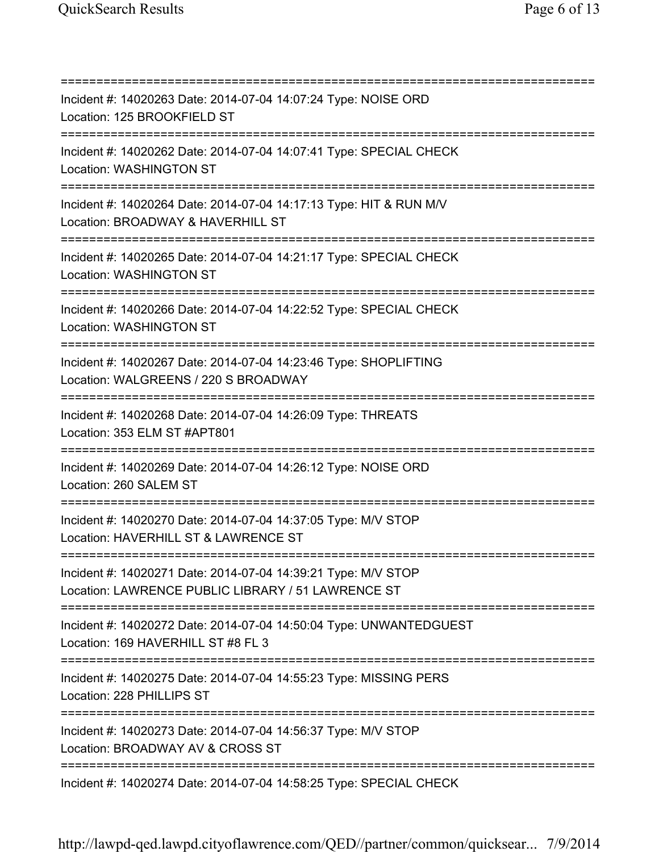=========================================================================== Incident #: 14020263 Date: 2014-07-04 14:07:24 Type: NOISE ORD Location: 125 BROOKFIELD ST =========================================================================== Incident #: 14020262 Date: 2014-07-04 14:07:41 Type: SPECIAL CHECK Location: WASHINGTON ST =========================================================================== Incident #: 14020264 Date: 2014-07-04 14:17:13 Type: HIT & RUN M/V Location: BROADWAY & HAVERHILL ST =========================================================================== Incident #: 14020265 Date: 2014-07-04 14:21:17 Type: SPECIAL CHECK Location: WASHINGTON ST =========================================================================== Incident #: 14020266 Date: 2014-07-04 14:22:52 Type: SPECIAL CHECK Location: WASHINGTON ST =========================================================================== Incident #: 14020267 Date: 2014-07-04 14:23:46 Type: SHOPLIFTING Location: WALGREENS / 220 S BROADWAY =========================================================================== Incident #: 14020268 Date: 2014-07-04 14:26:09 Type: THREATS Location: 353 ELM ST #APT801 =========================================================================== Incident #: 14020269 Date: 2014-07-04 14:26:12 Type: NOISE ORD Location: 260 SALEM ST =========================================================================== Incident #: 14020270 Date: 2014-07-04 14:37:05 Type: M/V STOP Location: HAVERHILL ST & LAWRENCE ST =========================================================================== Incident #: 14020271 Date: 2014-07-04 14:39:21 Type: M/V STOP Location: LAWRENCE PUBLIC LIBRARY / 51 LAWRENCE ST =========================================================================== Incident #: 14020272 Date: 2014-07-04 14:50:04 Type: UNWANTEDGUEST Location: 169 HAVERHILL ST #8 FL 3 =========================================================================== Incident #: 14020275 Date: 2014-07-04 14:55:23 Type: MISSING PERS Location: 228 PHILLIPS ST =========================================================================== Incident #: 14020273 Date: 2014-07-04 14:56:37 Type: M/V STOP Location: BROADWAY AV & CROSS ST =========================================================================== Incident #: 14020274 Date: 2014-07-04 14:58:25 Type: SPECIAL CHECK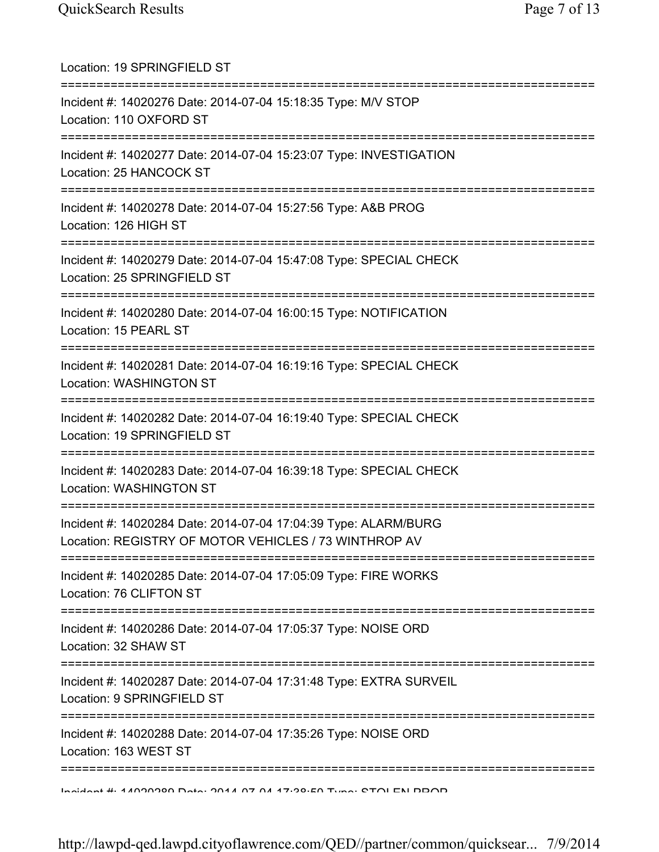| Location: 19 SPRINGFIELD ST                                                                                                                                       |
|-------------------------------------------------------------------------------------------------------------------------------------------------------------------|
| Incident #: 14020276 Date: 2014-07-04 15:18:35 Type: M/V STOP<br>Location: 110 OXFORD ST                                                                          |
| Incident #: 14020277 Date: 2014-07-04 15:23:07 Type: INVESTIGATION<br>Location: 25 HANCOCK ST<br>================================                                 |
| Incident #: 14020278 Date: 2014-07-04 15:27:56 Type: A&B PROG<br>Location: 126 HIGH ST                                                                            |
| Incident #: 14020279 Date: 2014-07-04 15:47:08 Type: SPECIAL CHECK<br>Location: 25 SPRINGFIELD ST                                                                 |
| Incident #: 14020280 Date: 2014-07-04 16:00:15 Type: NOTIFICATION<br>Location: 15 PEARL ST                                                                        |
| Incident #: 14020281 Date: 2014-07-04 16:19:16 Type: SPECIAL CHECK<br>Location: WASHINGTON ST                                                                     |
| Incident #: 14020282 Date: 2014-07-04 16:19:40 Type: SPECIAL CHECK<br>Location: 19 SPRINGFIELD ST                                                                 |
| Incident #: 14020283 Date: 2014-07-04 16:39:18 Type: SPECIAL CHECK<br>Location: WASHINGTON ST                                                                     |
| =====================================<br>Incident #: 14020284 Date: 2014-07-04 17:04:39 Type: ALARM/BURG<br>Location: REGISTRY OF MOTOR VEHICLES / 73 WINTHROP AV |
| Incident #: 14020285 Date: 2014-07-04 17:05:09 Type: FIRE WORKS<br>Location: 76 CLIFTON ST                                                                        |
| Incident #: 14020286 Date: 2014-07-04 17:05:37 Type: NOISE ORD<br>Location: 32 SHAW ST                                                                            |
| :===============================<br>Incident #: 14020287 Date: 2014-07-04 17:31:48 Type: EXTRA SURVEIL<br>Location: 9 SPRINGFIELD ST                              |
| ===========<br>Incident #: 14020288 Date: 2014-07-04 17:35:26 Type: NOISE ORD<br>Location: 163 WEST ST                                                            |
| <u>Indident #: 47000000 Dete: 0047.07.07.47.90.EO Tune: CTOI EN DDOD</u>                                                                                          |

http://lawpd-qed.lawpd.cityoflawrence.com/QED//partner/common/quicksear... 7/9/2014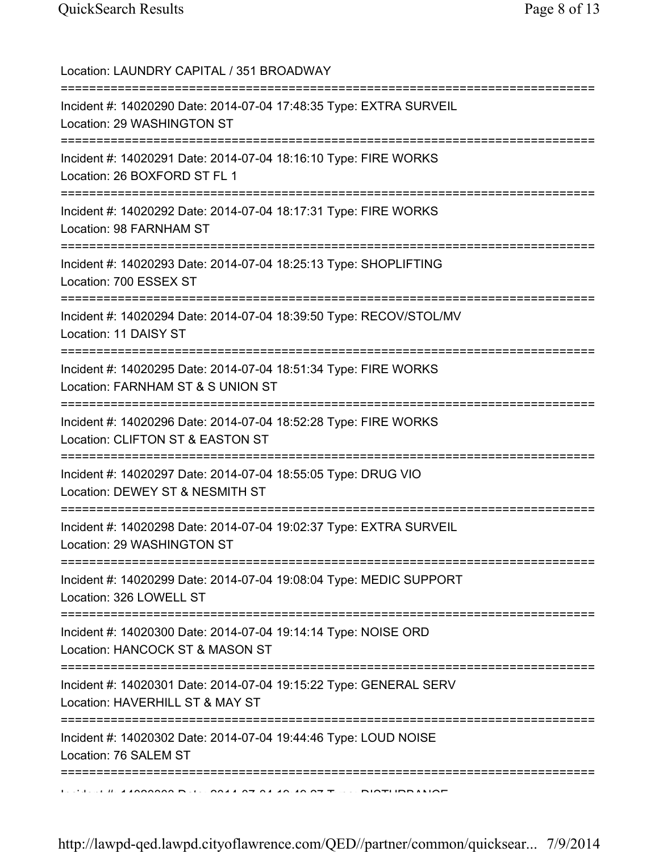Location: LAUNDRY CAPITAL / 351 BROADWAY =========================================================================== Incident #: 14020290 Date: 2014-07-04 17:48:35 Type: EXTRA SURVEIL Location: 29 WASHINGTON ST =========================================================================== Incident #: 14020291 Date: 2014-07-04 18:16:10 Type: FIRE WORKS Location: 26 BOXFORD ST FL 1 =========================================================================== Incident #: 14020292 Date: 2014-07-04 18:17:31 Type: FIRE WORKS Location: 98 FARNHAM ST =========================================================================== Incident #: 14020293 Date: 2014-07-04 18:25:13 Type: SHOPLIFTING Location: 700 ESSEX ST =========================================================================== Incident #: 14020294 Date: 2014-07-04 18:39:50 Type: RECOV/STOL/MV Location: 11 DAISY ST =========================================================================== Incident #: 14020295 Date: 2014-07-04 18:51:34 Type: FIRE WORKS Location: FARNHAM ST & S UNION ST =========================================================================== Incident #: 14020296 Date: 2014-07-04 18:52:28 Type: FIRE WORKS Location: CLIFTON ST & EASTON ST =========================================================================== Incident #: 14020297 Date: 2014-07-04 18:55:05 Type: DRUG VIO Location: DEWEY ST & NESMITH ST =========================================================================== Incident #: 14020298 Date: 2014-07-04 19:02:37 Type: EXTRA SURVEIL Location: 29 WASHINGTON ST =========================================================================== Incident #: 14020299 Date: 2014-07-04 19:08:04 Type: MEDIC SUPPORT Location: 326 LOWELL ST =========================================================================== Incident #: 14020300 Date: 2014-07-04 19:14:14 Type: NOISE ORD Location: HANCOCK ST & MASON ST =========================================================================== Incident #: 14020301 Date: 2014-07-04 19:15:22 Type: GENERAL SERV Location: HAVERHILL ST & MAY ST =========================================================================== Incident #: 14020302 Date: 2014-07-04 19:44:46 Type: LOUD NOISE Location: 76 SALEM ST =========================================================================== Incident #: 14020303 Date: 2014 07 04 19:49:27 Type: DISTURBANCE

http://lawpd-qed.lawpd.cityoflawrence.com/QED//partner/common/quicksear... 7/9/2014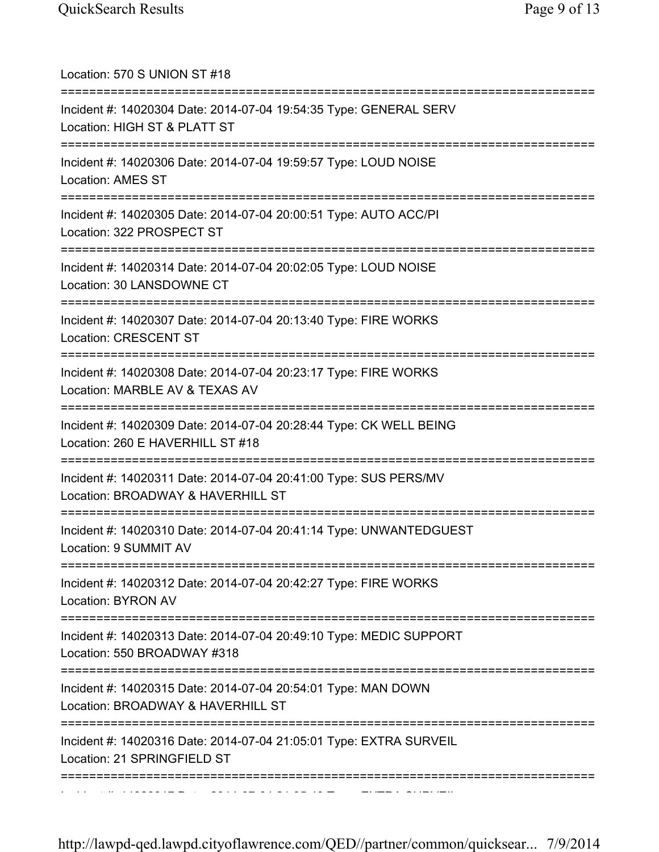| Location: 570 S UNION ST #18                                                                                    |
|-----------------------------------------------------------------------------------------------------------------|
| Incident #: 14020304 Date: 2014-07-04 19:54:35 Type: GENERAL SERV<br>Location: HIGH ST & PLATT ST               |
| Incident #: 14020306 Date: 2014-07-04 19:59:57 Type: LOUD NOISE<br>Location: AMES ST                            |
| Incident #: 14020305 Date: 2014-07-04 20:00:51 Type: AUTO ACC/PI<br>Location: 322 PROSPECT ST                   |
| Incident #: 14020314 Date: 2014-07-04 20:02:05 Type: LOUD NOISE<br>Location: 30 LANSDOWNE CT                    |
| Incident #: 14020307 Date: 2014-07-04 20:13:40 Type: FIRE WORKS<br>Location: CRESCENT ST                        |
| Incident #: 14020308 Date: 2014-07-04 20:23:17 Type: FIRE WORKS<br>Location: MARBLE AV & TEXAS AV               |
| Incident #: 14020309 Date: 2014-07-04 20:28:44 Type: CK WELL BEING<br>Location: 260 E HAVERHILL ST #18          |
| Incident #: 14020311 Date: 2014-07-04 20:41:00 Type: SUS PERS/MV<br>Location: BROADWAY & HAVERHILL ST           |
| Incident #: 14020310 Date: 2014-07-04 20:41:14 Type: UNWANTEDGUEST<br>Location: 9 SUMMIT AV                     |
| Incident #: 14020312 Date: 2014-07-04 20:42:27 Type: FIRE WORKS<br><b>Location: BYRON AV</b>                    |
| ._________<br>Incident #: 14020313 Date: 2014-07-04 20:49:10 Type: MEDIC SUPPORT<br>Location: 550 BROADWAY #318 |
| Incident #: 14020315 Date: 2014-07-04 20:54:01 Type: MAN DOWN<br>Location: BROADWAY & HAVERHILL ST              |
| Incident #: 14020316 Date: 2014-07-04 21:05:01 Type: EXTRA SURVEIL<br>Location: 21 SPRINGFIELD ST               |
|                                                                                                                 |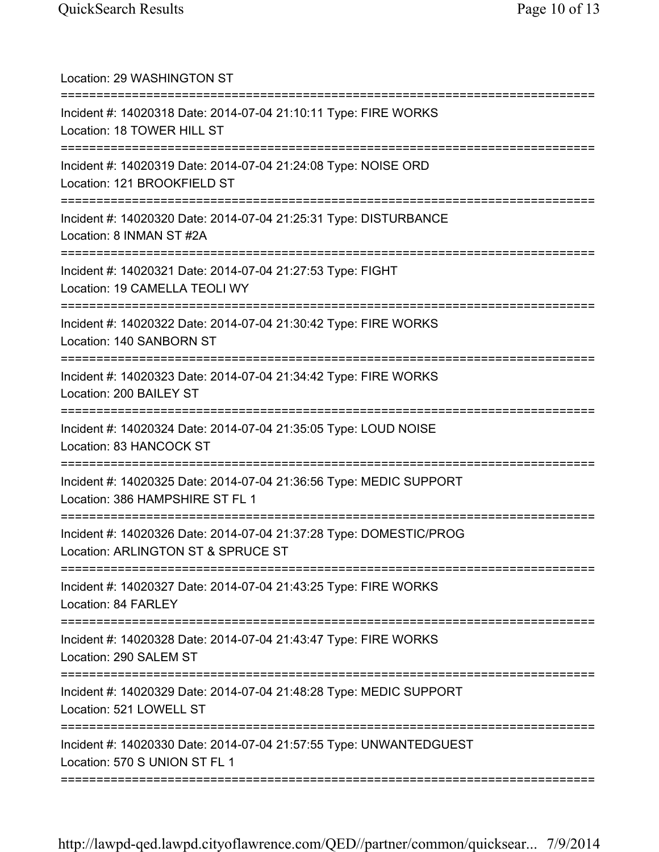| Location: 29 WASHINGTON ST<br>======================================                                                               |
|------------------------------------------------------------------------------------------------------------------------------------|
| Incident #: 14020318 Date: 2014-07-04 21:10:11 Type: FIRE WORKS<br>Location: 18 TOWER HILL ST                                      |
| Incident #: 14020319 Date: 2014-07-04 21:24:08 Type: NOISE ORD<br>Location: 121 BROOKFIELD ST                                      |
| Incident #: 14020320 Date: 2014-07-04 21:25:31 Type: DISTURBANCE<br>Location: 8 INMAN ST #2A                                       |
| Incident #: 14020321 Date: 2014-07-04 21:27:53 Type: FIGHT<br>Location: 19 CAMELLA TEOLI WY                                        |
| Incident #: 14020322 Date: 2014-07-04 21:30:42 Type: FIRE WORKS<br>Location: 140 SANBORN ST<br>=================================== |
| Incident #: 14020323 Date: 2014-07-04 21:34:42 Type: FIRE WORKS<br>Location: 200 BAILEY ST                                         |
| Incident #: 14020324 Date: 2014-07-04 21:35:05 Type: LOUD NOISE<br>Location: 83 HANCOCK ST                                         |
| Incident #: 14020325 Date: 2014-07-04 21:36:56 Type: MEDIC SUPPORT<br>Location: 386 HAMPSHIRE ST FL 1                              |
| Incident #: 14020326 Date: 2014-07-04 21:37:28 Type: DOMESTIC/PROG<br>Location: ARLINGTON ST & SPRUCE ST                           |
| Incident #: 14020327 Date: 2014-07-04 21:43:25 Type: FIRE WORKS<br>Location: 84 FARLEY                                             |
| Incident #: 14020328 Date: 2014-07-04 21:43:47 Type: FIRE WORKS<br>Location: 290 SALEM ST                                          |
| Incident #: 14020329 Date: 2014-07-04 21:48:28 Type: MEDIC SUPPORT<br>Location: 521 LOWELL ST                                      |
| Incident #: 14020330 Date: 2014-07-04 21:57:55 Type: UNWANTEDGUEST<br>Location: 570 S UNION ST FL 1                                |
|                                                                                                                                    |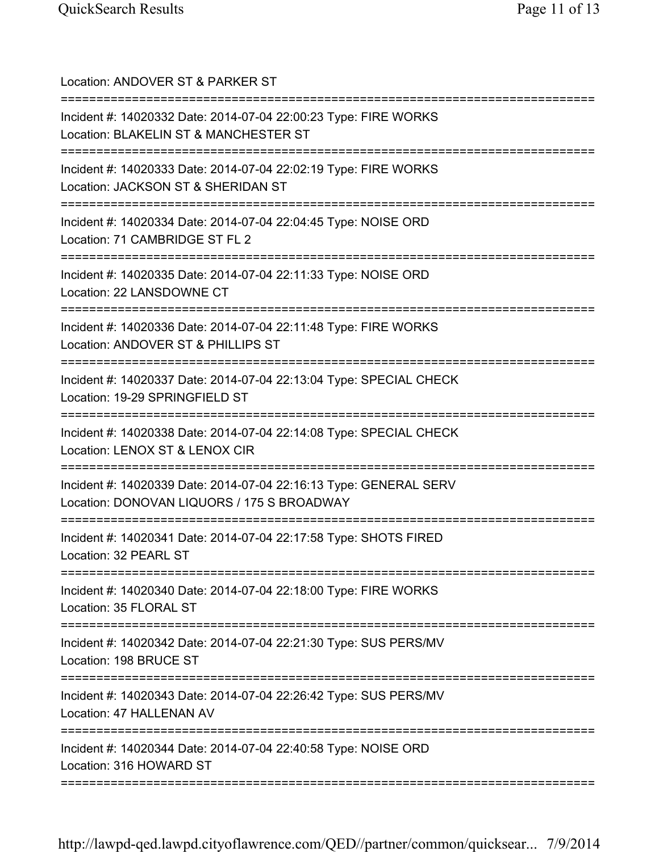| Location: ANDOVER ST & PARKER ST<br>============================                                                                              |
|-----------------------------------------------------------------------------------------------------------------------------------------------|
| Incident #: 14020332 Date: 2014-07-04 22:00:23 Type: FIRE WORKS<br>Location: BLAKELIN ST & MANCHESTER ST<br>.================================ |
| Incident #: 14020333 Date: 2014-07-04 22:02:19 Type: FIRE WORKS<br>Location: JACKSON ST & SHERIDAN ST                                         |
| Incident #: 14020334 Date: 2014-07-04 22:04:45 Type: NOISE ORD<br>Location: 71 CAMBRIDGE ST FL 2<br>==========================                |
| Incident #: 14020335 Date: 2014-07-04 22:11:33 Type: NOISE ORD<br>Location: 22 LANSDOWNE CT                                                   |
| Incident #: 14020336 Date: 2014-07-04 22:11:48 Type: FIRE WORKS<br>Location: ANDOVER ST & PHILLIPS ST                                         |
| ==============<br>Incident #: 14020337 Date: 2014-07-04 22:13:04 Type: SPECIAL CHECK<br>Location: 19-29 SPRINGFIELD ST                        |
| ====================================<br>Incident #: 14020338 Date: 2014-07-04 22:14:08 Type: SPECIAL CHECK<br>Location: LENOX ST & LENOX CIR  |
| Incident #: 14020339 Date: 2014-07-04 22:16:13 Type: GENERAL SERV<br>Location: DONOVAN LIQUORS / 175 S BROADWAY                               |
| Incident #: 14020341 Date: 2014-07-04 22:17:58 Type: SHOTS FIRED<br>Location: 32 PEARL ST                                                     |
| Incident #: 14020340 Date: 2014-07-04 22:18:00 Type: FIRE WORKS<br>Location: 35 FLORAL ST                                                     |
| =====================================<br>Incident #: 14020342 Date: 2014-07-04 22:21:30 Type: SUS PERS/MV<br>Location: 198 BRUCE ST           |
| ========<br>Incident #: 14020343 Date: 2014-07-04 22:26:42 Type: SUS PERS/MV<br>Location: 47 HALLENAN AV                                      |
| Incident #: 14020344 Date: 2014-07-04 22:40:58 Type: NOISE ORD<br>Location: 316 HOWARD ST                                                     |
|                                                                                                                                               |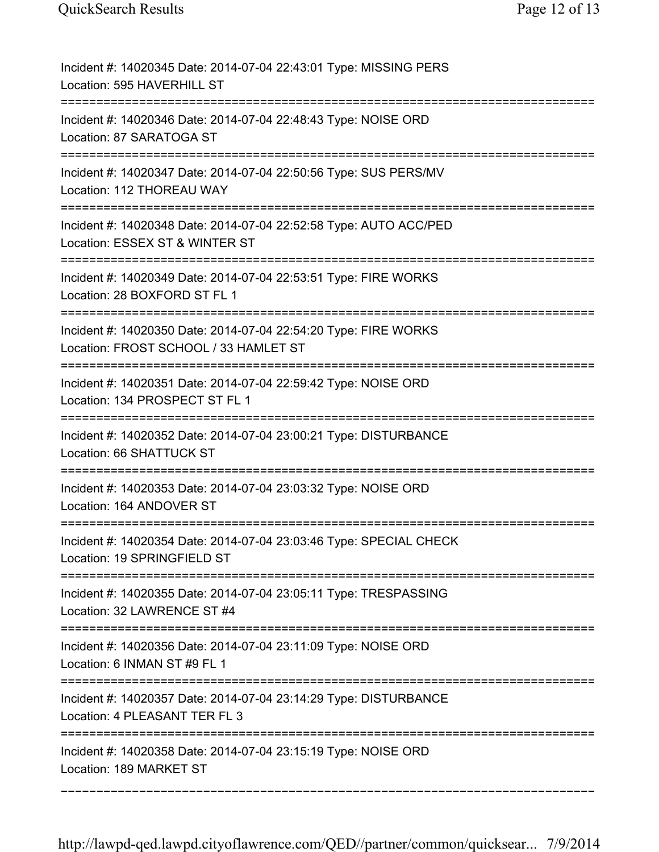| Incident #: 14020345 Date: 2014-07-04 22:43:01 Type: MISSING PERS<br>Location: 595 HAVERHILL ST                                 |
|---------------------------------------------------------------------------------------------------------------------------------|
| Incident #: 14020346 Date: 2014-07-04 22:48:43 Type: NOISE ORD<br>Location: 87 SARATOGA ST                                      |
| Incident #: 14020347 Date: 2014-07-04 22:50:56 Type: SUS PERS/MV<br>Location: 112 THOREAU WAY                                   |
| Incident #: 14020348 Date: 2014-07-04 22:52:58 Type: AUTO ACC/PED<br>Location: ESSEX ST & WINTER ST<br>======================== |
| Incident #: 14020349 Date: 2014-07-04 22:53:51 Type: FIRE WORKS<br>Location: 28 BOXFORD ST FL 1                                 |
| Incident #: 14020350 Date: 2014-07-04 22:54:20 Type: FIRE WORKS<br>Location: FROST SCHOOL / 33 HAMLET ST                        |
| Incident #: 14020351 Date: 2014-07-04 22:59:42 Type: NOISE ORD<br>Location: 134 PROSPECT ST FL 1<br>========================    |
| Incident #: 14020352 Date: 2014-07-04 23:00:21 Type: DISTURBANCE<br>Location: 66 SHATTUCK ST                                    |
| Incident #: 14020353 Date: 2014-07-04 23:03:32 Type: NOISE ORD<br>Location: 164 ANDOVER ST                                      |
| Incident #: 14020354 Date: 2014-07-04 23:03:46 Type: SPECIAL CHECK<br>Location: 19 SPRINGFIELD ST                               |
| Incident #: 14020355 Date: 2014-07-04 23:05:11 Type: TRESPASSING<br>Location: 32 LAWRENCE ST #4                                 |
| Incident #: 14020356 Date: 2014-07-04 23:11:09 Type: NOISE ORD<br>Location: 6 INMAN ST #9 FL 1<br>==========================    |
| Incident #: 14020357 Date: 2014-07-04 23:14:29 Type: DISTURBANCE<br>Location: 4 PLEASANT TER FL 3                               |
| Incident #: 14020358 Date: 2014-07-04 23:15:19 Type: NOISE ORD<br>Location: 189 MARKET ST                                       |
|                                                                                                                                 |